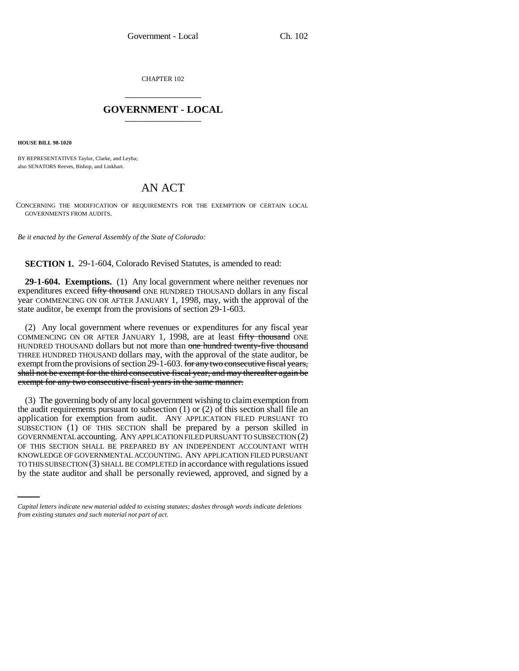CHAPTER 102 \_\_\_\_\_\_\_\_\_\_\_\_\_\_\_

## **GOVERNMENT - LOCAL** \_\_\_\_\_\_\_\_\_\_\_\_\_\_\_

**HOUSE BILL 98-1020**

BY REPRESENTATIVES Taylor, Clarke, and Leyba; also SENATORS Reeves, Bishop, and Linkhart.

## AN ACT

CONCERNING THE MODIFICATION OF REQUIREMENTS FOR THE EXEMPTION OF CERTAIN LOCAL GOVERNMENTS FROM AUDITS.

*Be it enacted by the General Assembly of the State of Colorado:*

**SECTION 1.** 29-1-604, Colorado Revised Statutes, is amended to read:

**29-1-604. Exemptions.** (1) Any local government where neither revenues nor expenditures exceed fifty thousand ONE HUNDRED THOUSAND dollars in any fiscal year COMMENCING ON OR AFTER JANUARY 1, 1998, may, with the approval of the state auditor, be exempt from the provisions of section 29-1-603.

(2) Any local government where revenues or expenditures for any fiscal year COMMENCING ON OR AFTER JANUARY 1, 1998, are at least fifty thousand ONE HUNDRED THOUSAND dollars but not more than one hundred twenty-five thousand THREE HUNDRED THOUSAND dollars may, with the approval of the state auditor, be exempt from the provisions of section 29-1-603. for any two consecutive fiscal years, shall not be exempt for the third consecutive fiscal year, and may thereafter again be exempt for any two consecutive fiscal years in the same manner.

KNOWLEDGE OF GOVERNMENTAL ACCOUNTING. ANY APPLICATION FILED PURSUANT (3) The governing body of any local government wishing to claim exemption from the audit requirements pursuant to subsection (1) or (2) of this section shall file an application for exemption from audit. ANY APPLICATION FILED PURSUANT TO SUBSECTION (1) OF THIS SECTION shall be prepared by a person skilled in GOVERNMENTAL accounting. ANY APPLICATION FILED PURSUANT TO SUBSECTION (2) OF THIS SECTION SHALL BE PREPARED BY AN INDEPENDENT ACCOUNTANT WITH TO THIS SUBSECTION (3) SHALL BE COMPLETED in accordance with regulations issued by the state auditor and shall be personally reviewed, approved, and signed by a

*Capital letters indicate new material added to existing statutes; dashes through words indicate deletions from existing statutes and such material not part of act.*